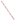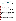

| <b>COMPANY:</b>             | <b>ECOM America LTD.</b>                                       |                              |                              |
|-----------------------------|----------------------------------------------------------------|------------------------------|------------------------------|
| <b>ADDRESS:</b>             | 1895 Beaver Ridge Circle<br>Suite N<br>Norcross, Georgia 30071 | <b>PHONE:</b><br><b>FAX:</b> | 770-840-0306<br>770-840-0270 |
| <b>WEB SITE:</b><br>E-MAIL: | http://www.ecomusa.com<br>ecom@ecomusa.com                     |                              |                              |

The U.S. Environmental Protection Agency (EPA) has created the Environmental Technology Verification (ETV) Program to facilitate the deployment of innovative or improved environmental technologies through performance verification and dissemination of information. The goal of the ETV Program is to further environmental protection by substantially accelerating the acceptance and use of improved and cost-effective technologies. ETV seeks to achieve this goal by providing high quality, peer reviewed data on technology performance to those involved in the design, distribution, financing, permitting, purchase, and use of environmental technologies.

ETV works in partnership with recognized standards and testing organizations; stakeholder groups which consist of buyers, vendor organizations, and permitters; and with the full participation of individual technology developers. The program evaluates the performance of innovative technologies by developing test plans that are responsive to the needs of stakeholders, conducting field or laboratory tests (as appropriate), collecting and analyzing data, and preparing peer reviewed reports. All evaluations are conducted in accordance with rigorous quality assurance protocols to ensure that data of known and adequate quality are generated and that the results are defensible.

The Advanced Monitoring Systems (AMS) program, one of 12 technology areas under ETV, is operated by Battelle in cooperation with EPA's National Exposure Research Laboratory. AMS has recently evaluated the performance of portable nitrogen oxides monitors used to determine emissions from combustion sources. This verification statement provides a summary of the test results for the ECOM A-PLUS Portable Emission Analyzer.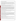## **VERIFICATION TEST DESCRIPTION**

The verification test described in this report was one of a series of tests conducted in early 1999 on commercial portable nitrogen oxides analyzers at Battelle's facilities in Columbus, Ohio. Verification testing of the analyzers involved (1) a series of laboratory tests in which certified NO and  $NO<sub>2</sub>$  standards were used to challenge the analyzers over a wide concentration range and (2) tests using realistic combustion sources, in which data from the portable analyzers undergoing testing were compared to simultaneous measurements of NO and NO<sub>y</sub> obtained with two chemiluminescent analyzers.

Verification testing lasted three to four days, of which two days were required for laboratory testing and the remainder for source emissions testing. To assess inter-unit variability, two identical analyzers were tested simultaneously in all tests, and results from the two analyzers were kept separate. The analyzers were operated at all times by a representative of ECOM and supervised at all times by Battelle staff.

Verification testing focused on measurement of NO and  $NO<sub>2</sub>$ , the sum of which is denoted as  $NO<sub>x</sub>$ . Laboratory testing included a linearity test over the entire nominal ranges of the analyzers for both NO and NO<sub>2</sub>; estimation of detection limits and response times; interference testing; assessment of sample pressure and ambient temperature effects on analyzer response; and evaluation of zero and span drift during the various laboratory tests. Tests with combustion sources assessed the accuracy of  $NO$ ,  $NO<sub>2</sub>$ , and  $NO<sub>x</sub>$  measurements, relative to the chemiluminescent NO/NOx approach that is the basis of EPA Method 7E. Sources used in the testing were a gas-fired rangetop burner, a gas-fired water heater, and a diesel-powered electrical generator operated at both idle and at high RPM. These sources produced NO<sub>x</sub> emissions ranging from less than 10 to over 400 ppm. Zero and span drift resulting from exposure to source emissions were assessed, and analyzer stability was monitored during one hour of uninterrupted sampling of diesel emissions.

Quality assurance (QA) oversight of verification testing was provided by both Battelle and U.S. EPA. Battelle QA staff conducted a technical systems audit, a performance evaluation audit, and a data quality audit of 10 percent of the test data. EPA QA staff conducted an independent on-site technical system audit.

## **TECHNOLOGY DESCRIPTION**

The ECOM A-PLUS is a portable, microprocessor controlled, electrochemical sensor-based emission analyzer. The ECOM A-PLUS can be fitted with up to five separate gas sensors to measure oxygen, carbon monoxide, oxides of nitrogen (NO and  $NO<sub>2</sub>$ ), and sulfur dioxide. Only the NO and NO<sub>2</sub> measurement capabilities were verified in the tests reported here. The A-PLUS measures 21" x 10" x 11.8" and weighs 30 pounds. An on-board printer allows hard copy printing of vital stack parameters, while an RS232 interface provides the option to store the data to a computer. The A-PLUS incorporates a sample conditioning system that includes a heated sample line, heated probe head, peltier cooler, and moisture removal assembly. Designed for semi-continuous operation, the ECOM A-PLUS is not recommended for continuous gas emission measurement.

## **VERIFICATION OF PERFORMANCE**

**Linearity:** The ECOM A-PLUS analyzers provided linear response, but not over their full nominal ranges of 0 to 4,000 ppm for NO and 0 to 500 ppm for  $NO<sub>2</sub>$ . The actual linear ranges for the ECOM analyzers were about 0 to 3,500 ppm for NO, and about 0 to 450 ppm for  $NO<sub>2</sub>$ .

**Detection Limit:** Combustion source tests indicated detection limits comparable to the 1 ppm measurement resolution of the analyzers. Detection limits estimated from the linearity test data were  $1.2$  ppm for  $NO<sub>2</sub>$  and about 4 ppm for NO. These values may have been influenced by the relatively high analyte levels used in the linearity test.